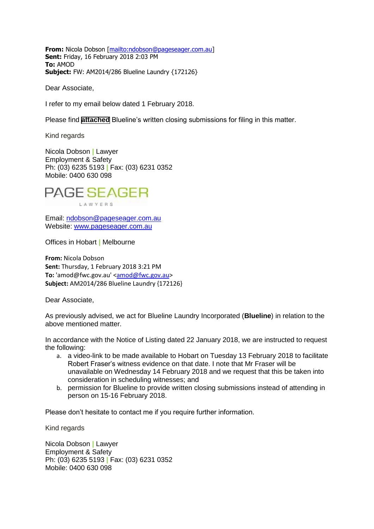**From:** Nicola Dobson [\[mailto:ndobson@pageseager.com.au\]](mailto:ndobson@pageseager.com.au) **Sent:** Friday, 16 February 2018 2:03 PM **To:** AMOD **Subject:** FW: AM2014/286 Blueline Laundry {172126}

Dear Associate,

I refer to my email below dated 1 February 2018.

Please find **[attached](#page-2-0)** Blueline's written closing submissions for filing in this matter.

Kind regards

Nicola Dobson **|** Lawyer Employment & Safety Ph: (03) 6235 5193 **|** Fax: (03) 6231 0352 Mobile: 0400 630 098



Email: [ndobson@pageseager.com.au](mailto:ndobson@pageseager.com.au)

Website: [www.pageseager.com.au](http://www.pageseager.com.au/)

Offices in Hobart **|** Melbourne

**From:** Nicola Dobson **Sent:** Thursday, 1 February 2018 3:21 PM To: 'amod@fwc.gov.au' [<amod@fwc.gov.au>](mailto:amod@fwc.gov.au) **Subject:** AM2014/286 Blueline Laundry {172126}

Dear Associate,

As previously advised, we act for Blueline Laundry Incorporated (**Blueline**) in relation to the above mentioned matter.

In accordance with the Notice of Listing dated 22 January 2018, we are instructed to request the following:

- a. a video-link to be made available to Hobart on Tuesday 13 February 2018 to facilitate Robert Fraser's witness evidence on that date. I note that Mr Fraser will be unavailable on Wednesday 14 February 2018 and we request that this be taken into consideration in scheduling witnesses; and
- b. permission for Blueline to provide written closing submissions instead of attending in person on 15-16 February 2018.

Please don't hesitate to contact me if you require further information.

Kind regards

Nicola Dobson **|** Lawyer Employment & Safety Ph: (03) 6235 5193 **|** Fax: (03) 6231 0352 Mobile: 0400 630 098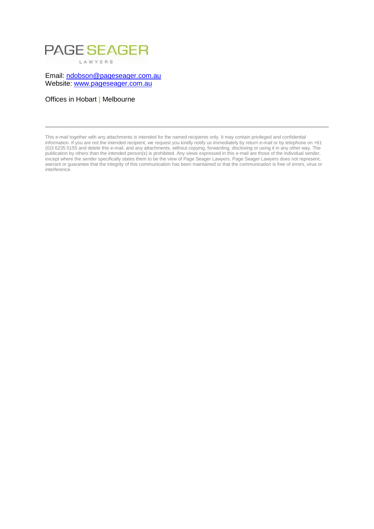# PAGE SEAGER LAWYERS

Email: [ndobson@pageseager.com.au](mailto:ndobson@pageseager.com.au) Website: [www.pageseager.com.au](http://www.pageseager.com.au/)

Offices in Hobart **|** Melbourne

This e-mail together with any attachments is intended for the named recipients only. It may contain privileged and confidential information. If you are not the intended recipient, we request you kindly notify us immediately by return e-mail or by telephone on +61 (0)3 6235 5155 and delete this e-mail, and any attachments, without copying, forwarding, disclosing or using it in any other way. The publication by others than the intended person(s) is prohibited. Any views expressed in this e-mail are those of the individual sender, except where the sender specifically states them to be the view of Page Seager Lawyers. Page Seager Lawyers does not represent, warrant or guarantee that the integrity of this communication has been maintained or that the communication is free of errors, virus or interference.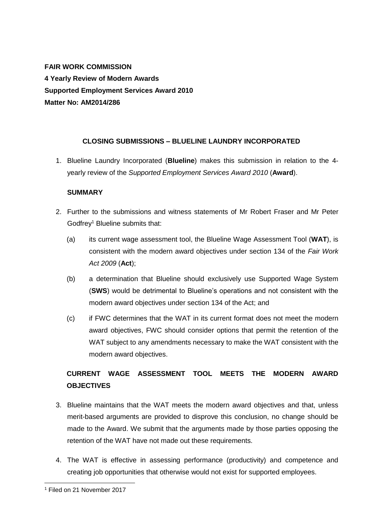<span id="page-2-0"></span>**FAIR WORK COMMISSION 4 Yearly Review of Modern Awards Supported Employment Services Award 2010 Matter No: AM2014/286**

### **CLOSING SUBMISSIONS – BLUELINE LAUNDRY INCORPORATED**

1. Blueline Laundry Incorporated (**Blueline**) makes this submission in relation to the 4 yearly review of the *Supported Employment Services Award 2010* (**Award**).

#### **SUMMARY**

- 2. Further to the submissions and witness statements of Mr Robert Fraser and Mr Peter Godfrey<sup>1</sup> Blueline submits that:
	- (a) its current wage assessment tool, the Blueline Wage Assessment Tool (**WAT**), is consistent with the modern award objectives under section 134 of the *Fair Work Act 2009* (**Act**);
	- (b) a determination that Blueline should exclusively use Supported Wage System (**SWS**) would be detrimental to Blueline's operations and not consistent with the modern award objectives under section 134 of the Act; and
	- (c) if FWC determines that the WAT in its current format does not meet the modern award objectives, FWC should consider options that permit the retention of the WAT subject to any amendments necessary to make the WAT consistent with the modern award objectives.

## **CURRENT WAGE ASSESSMENT TOOL MEETS THE MODERN AWARD OBJECTIVES**

- 3. Blueline maintains that the WAT meets the modern award objectives and that, unless merit-based arguments are provided to disprove this conclusion, no change should be made to the Award. We submit that the arguments made by those parties opposing the retention of the WAT have not made out these requirements.
- 4. The WAT is effective in assessing performance (productivity) and competence and creating job opportunities that otherwise would not exist for supported employees.

<sup>1</sup> Filed on 21 November 2017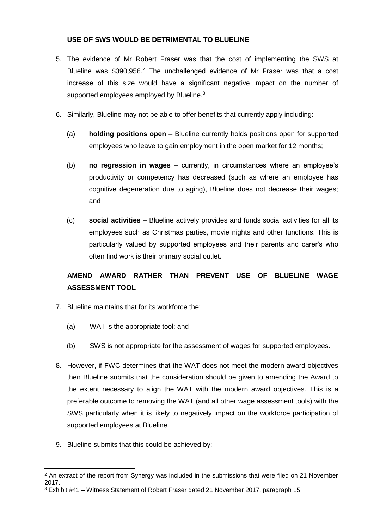#### **USE OF SWS WOULD BE DETRIMENTAL TO BLUELINE**

- 5. The evidence of Mr Robert Fraser was that the cost of implementing the SWS at Blueline was \$390,956.<sup>2</sup> The unchallenged evidence of Mr Fraser was that a cost increase of this size would have a significant negative impact on the number of supported employees employed by Blueline.<sup>3</sup>
- 6. Similarly, Blueline may not be able to offer benefits that currently apply including:
	- (a) **holding positions open** Blueline currently holds positions open for supported employees who leave to gain employment in the open market for 12 months;
	- (b) **no regression in wages** currently, in circumstances where an employee's productivity or competency has decreased (such as where an employee has cognitive degeneration due to aging), Blueline does not decrease their wages; and
	- (c) **social activities** Blueline actively provides and funds social activities for all its employees such as Christmas parties, movie nights and other functions. This is particularly valued by supported employees and their parents and carer's who often find work is their primary social outlet.

## **AMEND AWARD RATHER THAN PREVENT USE OF BLUELINE WAGE ASSESSMENT TOOL**

- 7. Blueline maintains that for its workforce the:
	- (a) WAT is the appropriate tool; and
	- (b) SWS is not appropriate for the assessment of wages for supported employees.
- 8. However, if FWC determines that the WAT does not meet the modern award objectives then Blueline submits that the consideration should be given to amending the Award to the extent necessary to align the WAT with the modern award objectives. This is a preferable outcome to removing the WAT (and all other wage assessment tools) with the SWS particularly when it is likely to negatively impact on the workforce participation of supported employees at Blueline.
- 9. Blueline submits that this could be achieved by:

 <sup>2</sup> An extract of the report from Synergy was included in the submissions that were filed on 21 November 2017.

<sup>3</sup> Exhibit #41 – Witness Statement of Robert Fraser dated 21 November 2017, paragraph 15.